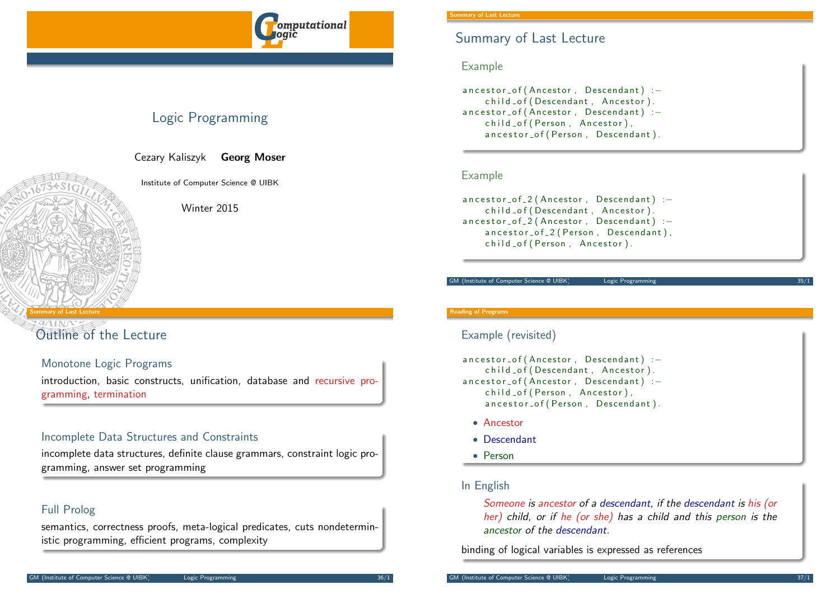

# Logic Programming

Cezary Kaliszyk Georg Moser

Institute of Computer Science @ UIBK

Winter 2015

#### <span id="page-0-0"></span>Summary of Last Lecture

# [Outline](#page-0-0) of the Lecture

## Monotone Logic Programs

introduction, basic constructs, unification, database and recursive programming, termination

## Incomplete Data Structures and Constraints

incomplete data structures, definite clause grammars, constraint logic programming, answer set programming

## Full Prolog

semantics, correctness proofs, meta-logical predicates, cuts nondeterministic programming, efficient programs, complexity

# Summary of Last Lecture

#### Example

ancestor\_of (Ancestor, Descendant) :child of (Descendant, Ancestor). ancestor\_of (Ancestor, Descendant) :child of (Person, Ancestor), ancestor\_of (Person, Descendant).

## Example

 $a$  n c e st o r  $_0$  o f  $_2$  (Ancestor, Descendant) : child \_of (Descendant, Ancestor). ancestor\_of\_2 (Ancestor, Descendant) :ancestor\_of\_2 (Person, Descendant), child \_of ( Person, Ancestor ).

GM (Institute of Computer Science @ UIBK) Logic Programming

#### Reading of Programs

#### Example (revisited)

ancestor\_of (Ancestor, Descendant) :child \_ of (Descendant, Ancestor). ancestor\_of (Ancestor, Descendant) :child of (Person, Ancestor), ancestor\_of (Person, Descendant).

- Ancestor
- Descendant
- Person

## In English

Someone is ancestor of a descendant, if the descendant is his (or her) child, or if he (or she) has a child and this person is the ancestor of the descendant.

binding of logical variables is expressed as references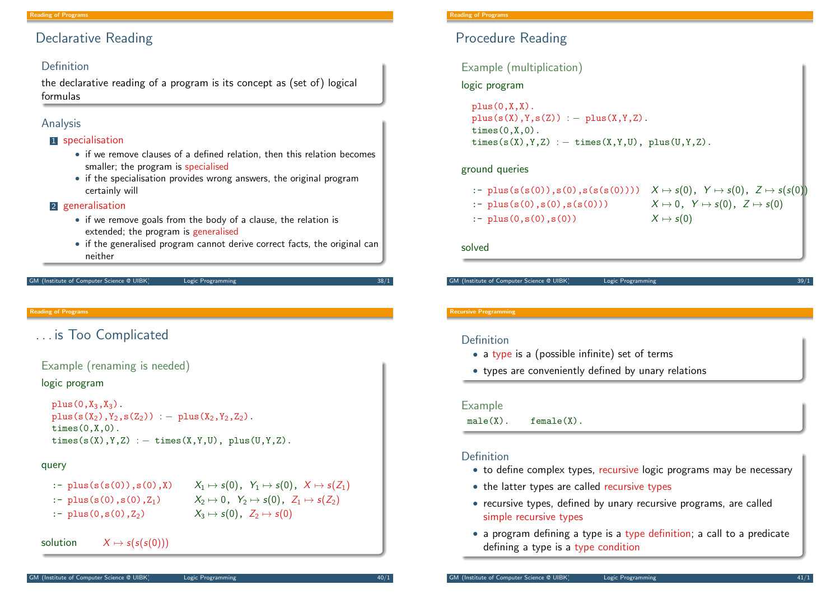# Declarative Reading

#### Definition

the declarative reading of a program is its concept as (set of) logical formulas

## Analysis

#### **1** specialisation

- if we remove clauses of a defined relation, then this relation becomes smaller; the program is specialised
- if the specialisation provides wrong answers, the original program certainly will

#### 2 generalisation

- if we remove goals from the body of a clause, the relation is extended; the program is generalised
- if the generalised program cannot derive correct facts, the original can neither

```
(Institute of Computer Science @ UIBK) Logic Programming
```
Reading of Programs

# <span id="page-1-0"></span>[. . . i](#page-0-0)[s T](#page-1-0)oo Complicated

```
Example (renaming is needed)
```
#### logic program

```
plus(0,X_3,X_3).
plus(s(X_2),Y_2,s(Z_2)) := plus(X_2,Y_2,Z_2).times(0,X,0).
times(s(X), Y, Z) : - times(X, Y, U), plus(U, Y, Z).
```
#### query

| :- $plus(s(s(0)), s(0), X)$ | $X_1 \mapsto s(0)$ , $Y_1 \mapsto s(0)$ , $X \mapsto s(Z_1)$ |
|-----------------------------|--------------------------------------------------------------|
| :- $plus(s(0), s(0), Z_1)$  | $X_2 \mapsto 0$ , $Y_2 \mapsto s(0)$ , $Z_1 \mapsto s(Z_2)$  |
| :- $plus(0, s(0), Z_2)$     | $X_3 \mapsto s(0)$ , $Z_2 \mapsto s(0)$                      |

solution  $X \mapsto s(s(s(0)))$ 

# Procedure Reading

#### Example (multiplication)

## logic program

 $plus(0,X,X)$ .  $plus(s(X), Y, s(Z)) := plus(X, Y, Z).$  $times(0,X,0)$ .  $times(s(X), Y, Z)$  : - times $(X, Y, U)$ , plus $(U, Y, Z)$ .

#### ground queries

| :- plus(s(s(0)),s(0),s(s(s(0)))) $X \mapsto s(0)$ , $Y \mapsto s(0)$ , $Z \mapsto s(s(0))$ |                                                                         |
|--------------------------------------------------------------------------------------------|-------------------------------------------------------------------------|
| :- $plus(s(0), s(0), s(s(0)))$                                                             | ı<br>$X \mapsto 0 \, , \ \ Y \mapsto s(0) \, , \ \ Z \mapsto s(0) \, ,$ |
| :- $plus(0,s(0),s(0))$                                                                     | $X \mapsto s(0)$                                                        |

solved

GM (Institute of Computer Science @ UIBK) Logic Programming

#### Recursive Programming

## Definition

- a type is a (possible infinite) set of terms
- types are conveniently defined by unary relations

#### Example

 $male(X)$ . female $(X)$ .

## Definition

- to define complex types, recursive logic programs may be necessary
- the latter types are called recursive types
- recursive types, defined by unary recursive programs, are called simple recursive types
- a program defining a type is a type definition; a call to a predicate defining a type is a type condition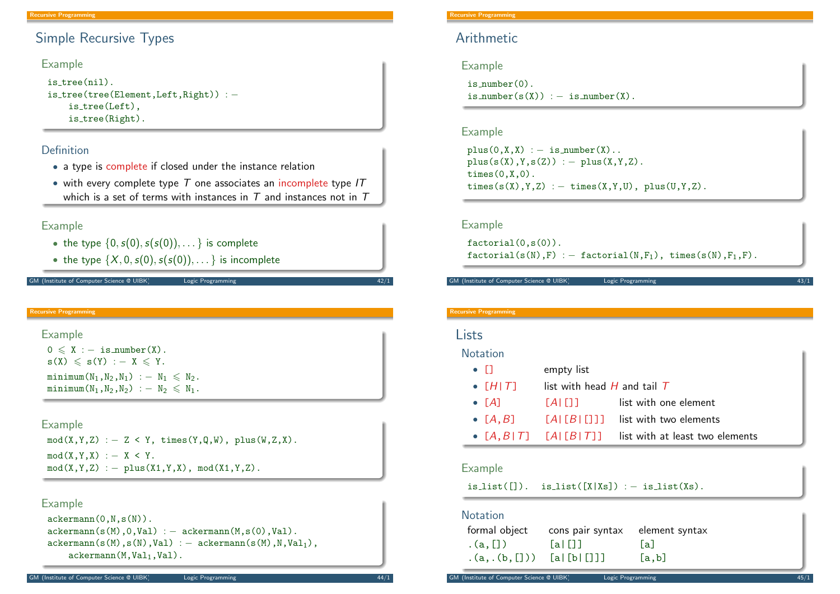# Simple Recursive Types

#### Example

```
is tree(nil).
is tree(tree(Element,Left,Right)) : −
    is_tree(Left),
    is_tree(Right).
```
#### Definition

- a type is complete if closed under the instance relation
- with every complete type  $T$  one associates an incomplete type IT which is a set of terms with instances in  $T$  and instances not in  $T$

#### Example

- the type  $\{0, s(0), s(s(0)), \ldots\}$  is complete
- the type  $\{X, 0, s(0), s(s(0)), \ldots\}$  is incomplete

M (Institute of Computer Science @ UIBK) Logic Programming

Recursive Programming

```
Example
 0 \leqslant X : - is number(X).
 s(X) \leqslant s(Y) : - X \leqslant Y.
 minimum(N_1,N_2,N_1) : -N_1 \leq N_2.
```
minimum $(N_1,N_2,N_2)$  :  $- N_2 \leq N_1$ .

#### Example

```
mod(X, Y, Z) : - Z < Y, times(Y,Q,W), plus(W,Z,X).
mod(X, Y, X) : - X < Y.
mod(X, Y, Z) : - plus(X1, Y, X), mod(X1, Y, Z).
```
#### Example

```
ackerman(0,N,s(N)).
ackerman(s(M),0,Va1) := actermann(M,s(0),Val).ackerman(s(M),s(N),Val) := akerman(s(M),N,Val),ackerman(M,Val<sub>1</sub>,Val).
```
#### Recursive Programming

# Arithmetic

Example

```
is number(0).
is_number(s(X)) := is_number(X).
```
#### Example

```
plus(0,X,X) := is_number(X)..
plus(s(X), Y, s(Z)) := plus(X, Y, Z).times(0,X,0).
times(s(X), Y, Z) : - times(X, Y, U), plus(U, Y, Z).
```
#### Example

```
factorial(0,s(0)).
factorial(s(N),F) : – factorial(N,F<sub>1</sub>), times(s(N),F<sub>1</sub>,F).
```
GM (Institute of Computer Science @ UIBK) Logic Programming

#### Recursive Programming

## Lists

#### **Notation**

| $\bullet$ $\Box$      | empty list                      |                                                                |
|-----------------------|---------------------------------|----------------------------------------------------------------|
| $\bullet$ [H T]       | list with head $H$ and tail $T$ |                                                                |
| $\bullet$ $\Gamma$ A1 | <b>TALETTE</b>                  | list with one element                                          |
| $\bullet$ [A,B]       |                                 | $[A][B][1]$ list with two elements                             |
|                       |                                 | • $[A, B   T]$ $[A   [B   T]]$ list with at least two elements |

## Example

 $is\_list([])$ .  $is\_list([X|Xs])$  :  $-$  is $\_list(Xs)$ .

# Notation

| formal object             | cons pair syntax element syntax |       |
|---------------------------|---------------------------------|-------|
| $\cdot$ (a, [])           | [a][1]                          | lal   |
| $(a, (b, []))$ [al[bl[]]] |                                 | [a,b] |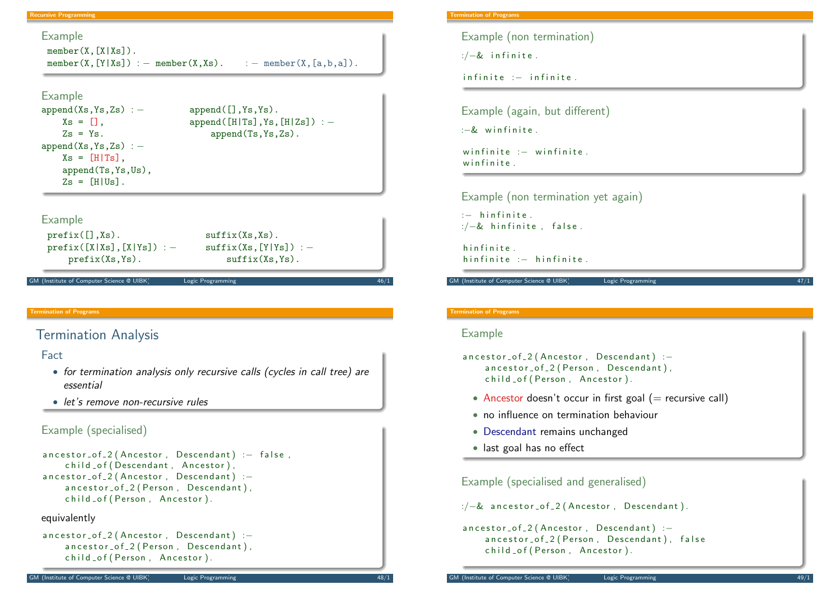#### Recursive Programming

#### Example

 $member(X, [X|Xs])$ . member(X,[Y|Xs]) : – member(X,Xs). : – member(X, $[a, b, a]$ ).

#### Example

```
append(Xs,Ys,Zs) : − append([\ ],Ys,Ys).
   Xs = [], append([H|Ts],Ys,[H|Zs]) : −
   Zs = Ys. append(Ts, Ys, Zs).
append(Xs,Ys,Zs) : −
   Xs = [H|Ts].
   append(Ts,Ys,Us),
   Zs = [H|Us].
```
#### Example

```
prefix([], Xs). suffix(Xs, Xs).
prefix([X|Xs], [X|Ys]) : - suffix(Xs,[Y|Ys]) : -prefix(Xs,Ys). \text{suffix}(Xs, Ys).
```
GM (Institute of Computer Science @ UIBK) Logic Programming

#### Termination of Programs

# <span id="page-3-0"></span>[Term](#page-1-0)[in](#page-3-0)ation Analysis

#### Fact

- for termination analysis only recursive calls (cycles in call tree) are essential
- let's remove non-recursive rules

## Example (specialised)

```
ancestor_of_2 (Ancestor, Descendant) :- false,
    child of (Descendant, Ancestor).
ancestor_of_2 (Ancestor, Descendant) :-
    ancestor_of_2 (Person, Descendant),
    child _of ( Person, Ancestor).
```
#### equivalently

```
ancestor_of_2 (Ancestor, Descendant) :-
    ancestor_of_2 (Person, Descendant),
    child _of ( Person, Ancestor ).
```
#### Termination of Programs

Example (non termination)

 $\div$  /-& infinite.

 $in finite$  : $-$  in finite.

Example (again, but different)

 $\cdot = 8$  winfinite

winfinite  $:$  winfinite. winfinite

Example (non termination yet again)

 $: -$  hinfinite.  $\therefore$  /-& hinfinite, false.

hin finite. hin finite  $\cdot$  - hin finite

GM (Institute of Computer Science @ UIBK) Logic Programming

# Termination of Programs

#### Example

```
ancestor_of_2 (Ancestor, Descendant) :-
    ancestor_of_2 (Person, Descendant),
    child _of ( Person, Ancestor).
```
- Ancestor doesn't occur in first goal  $($  = recursive call)
- no influence on termination behaviour
- Descendant remains unchanged
- last goal has no effect

Example (specialised and generalised)

 $\frac{1}{2}$  ancestor\_of\_2 (Ancestor, Descendant).

```
ancestor_of_2 (Ancestor, Descendant) :-
    ancestor_of_2 (Person, Descendant), false
    child _ of ( Person, Ancestor).
```